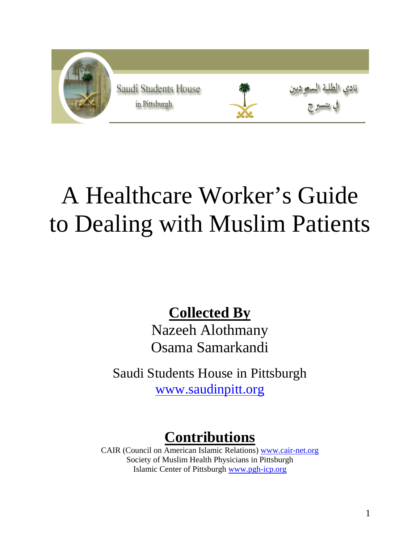

# A Healthcare Worker's Guide to Dealing with Muslim Patients

**Collected By**

Nazeeh Alothmany Osama Samarkandi

Saudi Students House in Pittsburgh www.saudinpitt.org

### **Contributions**

CAIR (Council on American Islamic Relations) www.cair-net.org Society of Muslim Health Physicians in Pittsburgh Islamic Center of Pittsburgh www.pgh-icp.org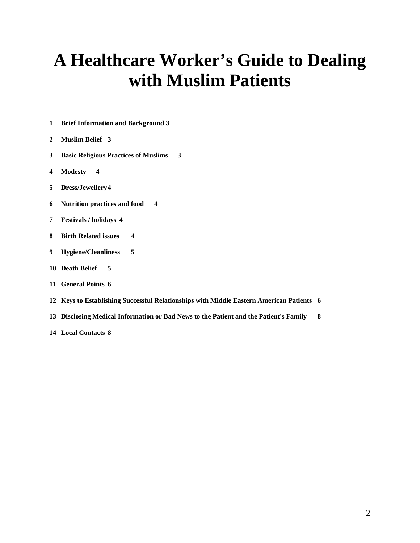## **A Healthcare Worker's Guide to Dealing with Muslim Patients**

- **Brief Information and Background 3**
- **Muslim Belief 3**
- **Basic Religious Practices of Muslims 3**
- **Modesty 4**
- **Dress/Jewellery 4**
- **Nutrition practices and food 4**
- **Festivals / holidays 4**
- **Birth Related issues 4**
- **Hygiene/Cleanliness 5**
- **Death Belief 5**
- **General Points 6**
- **Keys to Establishing Successful Relationships with Middle Eastern American Patients 6**
- **Disclosing Medical Information or Bad News to the Patient and the Patient's Family 8**
- **Local Contacts 8**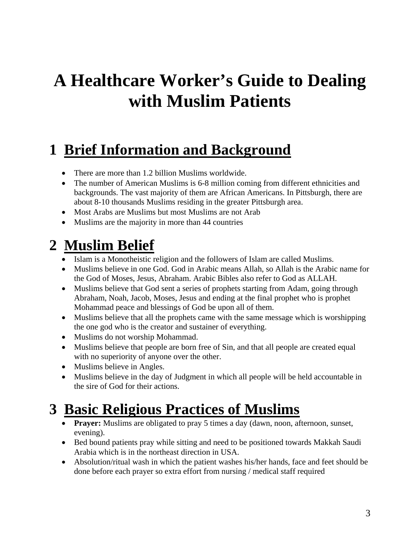# **A Healthcare Worker's Guide to Dealing with Muslim Patients**

## **1 Brief Information and Background**

- There are more than 1.2 billion Muslims worldwide.
- The number of American Muslims is 6-8 million coming from different ethnicities and backgrounds. The vast majority of them are African Americans. In Pittsburgh, there are about 8-10 thousands Muslims residing in the greater Pittsburgh area.
- Most Arabs are Muslims but most Muslims are not Arab
- Muslims are the majority in more than 44 countries

#### **2 Muslim Belief**

- Islam is a Monotheistic religion and the followers of Islam are called Muslims.
- Muslims believe in one God. God in Arabic means Allah, so Allah is the Arabic name for the God of Moses, Jesus, Abraham. Arabic Bibles also refer to God as ALLAH.
- Muslims believe that God sent a series of prophets starting from Adam, going through Abraham, Noah, Jacob, Moses, Jesus and ending at the final prophet who is prophet Mohammad peace and blessings of God be upon all of them.
- Muslims believe that all the prophets came with the same message which is worshipping the one god who is the creator and sustainer of everything.
- Muslims do not worship Mohammad.
- Muslims believe that people are born free of Sin, and that all people are created equal with no superiority of anyone over the other.
- Muslims believe in Angles.
- Muslims believe in the day of Judgment in which all people will be held accountable in the sire of God for their actions.

#### **3 Basic Religious Practices of Muslims**

- **Prayer:** Muslims are obligated to pray 5 times a day (dawn, noon, afternoon, sunset, evening).
- Bed bound patients pray while sitting and need to be positioned towards Makkah Saudi Arabia which is in the northeast direction in USA.
- Absolution/ritual wash in which the patient washes his/her hands, face and feet should be done before each prayer so extra effort from nursing / medical staff required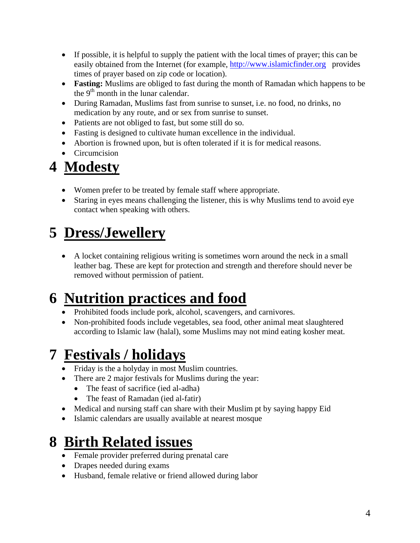- If possible, it is helpful to supply the patient with the local times of prayer; this can be easily obtained from the Internet (for example, http://www.islamicfinder.org provides times of prayer based on zip code or location).
- **Fasting:** Muslims are obliged to fast during the month of Ramadan which happens to be the  $9<sup>th</sup>$  month in the lunar calendar.
- During Ramadan, Muslims fast from sunrise to sunset, i.e. no food, no drinks, no medication by any route, and or sex from sunrise to sunset.
- Patients are not obliged to fast, but some still do so.
- Fasting is designed to cultivate human excellence in the individual.
- Abortion is frowned upon, but is often tolerated if it is for medical reasons.
- Circumcision

## **4 Modesty**

- Women prefer to be treated by female staff where appropriate.
- Staring in eyes means challenging the listener, this is why Muslims tend to avoid eye contact when speaking with others.

## **5 Dress/Jewellery**

• A locket containing religious writing is sometimes worn around the neck in a small leather bag. These are kept for protection and strength and therefore should never be removed without permission of patient.

## **6 Nutrition practices and food**

- Prohibited foods include pork, alcohol, scavengers, and carnivores.
- Non-prohibited foods include vegetables, sea food, other animal meat slaughtered according to Islamic law (halal), some Muslims may not mind eating kosher meat.

### **7 Festivals / holidays**

- Friday is the a holyday in most Muslim countries.
- There are 2 major festivals for Muslims during the year:
	- The feast of sacrifice (ied al-adha)
	- The feast of Ramadan (ied al-fatir)
- Medical and nursing staff can share with their Muslim pt by saying happy Eid
- Islamic calendars are usually available at nearest mosque

### **8 Birth Related issues**

- Female provider preferred during prenatal care
- Drapes needed during exams
- Husband, female relative or friend allowed during labor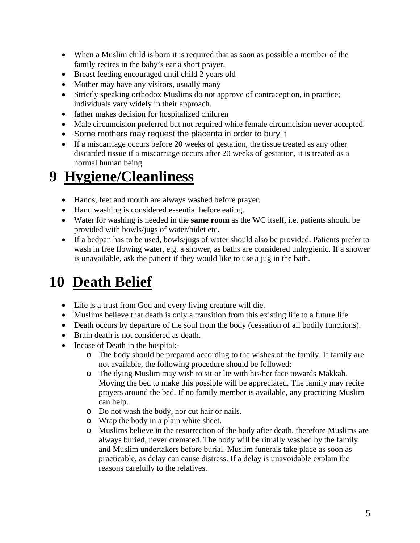- When a Muslim child is born it is required that as soon as possible a member of the family recites in the baby's ear a short prayer.
- Breast feeding encouraged until child 2 years old
- Mother may have any visitors, usually many
- Strictly speaking orthodox Muslims do not approve of contraception, in practice; individuals vary widely in their approach.
- father makes decision for hospitalized children
- Male circumcision preferred but not required while female circumcision never accepted.
- Some mothers may request the placenta in order to bury it
- If a miscarriage occurs before 20 weeks of gestation, the tissue treated as any other discarded tissue if a miscarriage occurs after 20 weeks of gestation, it is treated as a normal human being

#### **9 Hygiene/Cleanliness**

- Hands, feet and mouth are always washed before prayer.
- Hand washing is considered essential before eating.
- Water for washing is needed in the **same room** as the WC itself, i.e. patients should be provided with bowls/jugs of water/bidet etc.
- If a bedpan has to be used, bowls/jugs of water should also be provided. Patients prefer to wash in free flowing water, e.g. a shower, as baths are considered unhygienic. If a shower is unavailable, ask the patient if they would like to use a jug in the bath.

### **10 Death Belief**

- Life is a trust from God and every living creature will die.
- Muslims believe that death is only a transition from this existing life to a future life.
- Death occurs by departure of the soul from the body (cessation of all bodily functions).
- Brain death is not considered as death.
- Incase of Death in the hospital:
	- o The body should be prepared according to the wishes of the family. If family are not available, the following procedure should be followed:
	- o The dying Muslim may wish to sit or lie with his/her face towards Makkah. Moving the bed to make this possible will be appreciated. The family may recite prayers around the bed. If no family member is available, any practicing Muslim can help.
	- o Do not wash the body, nor cut hair or nails.
	- o Wrap the body in a plain white sheet.
	- o Muslims believe in the resurrection of the body after death, therefore Muslims are always buried, never cremated. The body will be ritually washed by the family and Muslim undertakers before burial. Muslim funerals take place as soon as practicable, as delay can cause distress. If a delay is unavoidable explain the reasons carefully to the relatives.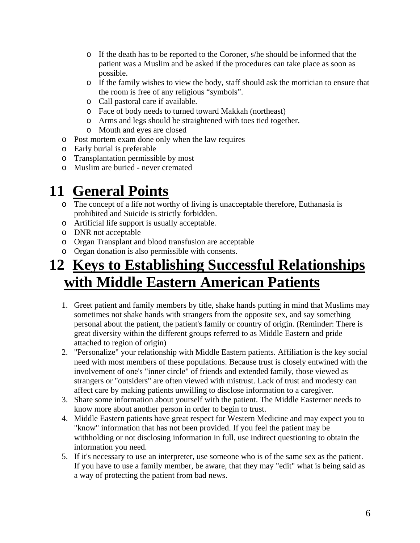- o If the death has to be reported to the Coroner, s/he should be informed that the patient was a Muslim and be asked if the procedures can take place as soon as possible.
- o If the family wishes to view the body, staff should ask the mortician to ensure that the room is free of any religious "symbols".
- o Call pastoral care if available.
- o Face of body needs to turned toward Makkah (northeast)
- o Arms and legs should be straightened with toes tied together.
- o Mouth and eyes are closed
- o Post mortem exam done only when the law requires
- o Early burial is preferable
- o Transplantation permissible by most
- o Muslim are buried never cremated

#### **11 General Points**

- o The concept of a life not worthy of living is unacceptable therefore, Euthanasia is prohibited and Suicide is strictly forbidden.
- o Artificial life support is usually acceptable.
- o DNR not acceptable
- o Organ Transplant and blood transfusion are acceptable
- o Organ donation is also permissible with consents.

#### **12 Keys to Establishing Successful Relationships with Middle Eastern American Patients**

- 1. Greet patient and family members by title, shake hands putting in mind that Muslims may sometimes not shake hands with strangers from the opposite sex, and say something personal about the patient, the patient's family or country of origin. (Reminder: There is great diversity within the different groups referred to as Middle Eastern and pride attached to region of origin)
- 2. "Personalize" your relationship with Middle Eastern patients. Affiliation is the key social need with most members of these populations. Because trust is closely entwined with the involvement of one's "inner circle" of friends and extended family, those viewed as strangers or "outsiders" are often viewed with mistrust. Lack of trust and modesty can affect care by making patients unwilling to disclose information to a caregiver.
- 3. Share some information about yourself with the patient. The Middle Easterner needs to know more about another person in order to begin to trust.
- 4. Middle Eastern patients have great respect for Western Medicine and may expect you to "know" information that has not been provided. If you feel the patient may be withholding or not disclosing information in full, use indirect questioning to obtain the information you need.
- 5. If it's necessary to use an interpreter, use someone who is of the same sex as the patient. If you have to use a family member, be aware, that they may "edit" what is being said as a way of protecting the patient from bad news.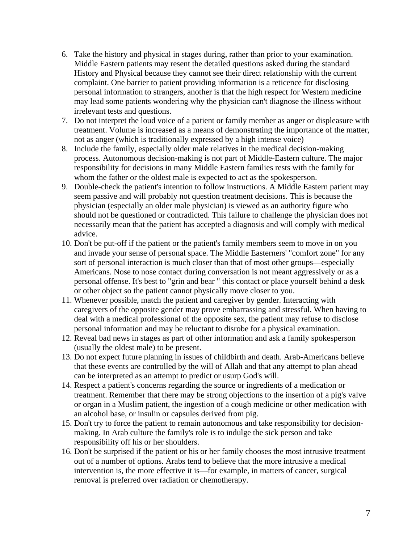- 6. Take the history and physical in stages during, rather than prior to your examination. Middle Eastern patients may resent the detailed questions asked during the standard History and Physical because they cannot see their direct relationship with the current complaint. One barrier to patient providing information is a reticence for disclosing personal information to strangers, another is that the high respect for Western medicine may lead some patients wondering why the physician can't diagnose the illness without irrelevant tests and questions.
- 7. Do not interpret the loud voice of a patient or family member as anger or displeasure with treatment. Volume is increased as a means of demonstrating the importance of the matter, not as anger (which is traditionally expressed by a high intense voice)
- 8. Include the family, especially older male relatives in the medical decision-making process. Autonomous decision-making is not part of Middle-Eastern culture. The major responsibility for decisions in many Middle Eastern families rests with the family for whom the father or the oldest male is expected to act as the spokesperson.
- 9. Double-check the patient's intention to follow instructions. A Middle Eastern patient may seem passive and will probably not question treatment decisions. This is because the physician (especially an older male physician) is viewed as an authority figure who should not be questioned or contradicted. This failure to challenge the physician does not necessarily mean that the patient has accepted a diagnosis and will comply with medical advice.
- 10. Don't be put-off if the patient or the patient's family members seem to move in on you and invade your sense of personal space. The Middle Easterners' "comfort zone" for any sort of personal interaction is much closer than that of most other groups—especially Americans. Nose to nose contact during conversation is not meant aggressively or as a personal offense. It's best to "grin and bear " this contact or place yourself behind a desk or other object so the patient cannot physically move closer to you.
- 11. Whenever possible, match the patient and caregiver by gender. Interacting with caregivers of the opposite gender may prove embarrassing and stressful. When having to deal with a medical professional of the opposite sex, the patient may refuse to disclose personal information and may be reluctant to disrobe for a physical examination.
- 12. Reveal bad news in stages as part of other information and ask a family spokesperson (usually the oldest male) to be present.
- 13. Do not expect future planning in issues of childbirth and death. Arab-Americans believe that these events are controlled by the will of Allah and that any attempt to plan ahead can be interpreted as an attempt to predict or usurp God's will.
- 14. Respect a patient's concerns regarding the source or ingredients of a medication or treatment. Remember that there may be strong objections to the insertion of a pig's valve or organ in a Muslim patient, the ingestion of a cough medicine or other medication with an alcohol base, or insulin or capsules derived from pig.
- 15. Don't try to force the patient to remain autonomous and take responsibility for decisionmaking. In Arab culture the family's role is to indulge the sick person and take responsibility off his or her shoulders.
- 16. Don't be surprised if the patient or his or her family chooses the most intrusive treatment out of a number of options. Arabs tend to believe that the more intrusive a medical intervention is, the more effective it is—for example, in matters of cancer, surgical removal is preferred over radiation or chemotherapy.